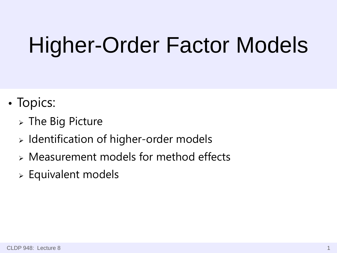# Higher-Order Factor Models

- Topics:
	- $>$  The Big Picture
	- $\triangleright$  Identification of higher-order models
	- Measurement models for method effects
	- Equivalent models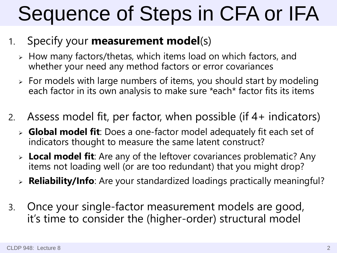# Sequence of Steps in CFA or IFA

#### 1. Specify your **measurement model**(s)

- How many factors/thetas, which items load on which factors, and whether your need any method factors or error covariances
- $\ge$  For models with large numbers of items, you should start by modeling each factor in its own analysis to make sure \*each\* factor fits its items
- 2. Assess model fit, per factor, when possible (if 4+ indicators)
	- **Global model fit**: Does a one-factor model adequately fit each set of indicators thought to measure the same latent construct?
	- **Local model fit**: Are any of the leftover covariances problematic? Any items not loading well (or are too redundant) that you might drop?
	- **Reliability/Info**: Are your standardized loadings practically meaningful?
- 3. Once your single-factor measurement models are good, it's time to consider the (higher-order) structural model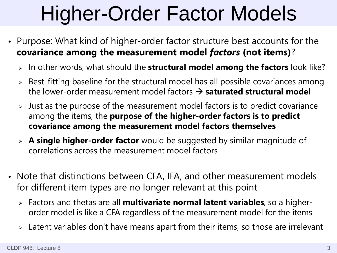# Higher-Order Factor Models

- Purpose: What kind of higher-order factor structure best accounts for the **covariance among the measurement model** *factors* **(not items)**?
	- In other words, what should the **structural model among the factors** look like?
	- Best-fitting baseline for the structural model has all possible covariances among the lower-order measurement model factors  $\rightarrow$  **saturated structural model**
	- Just as the purpose of the measurement model factors is to predict covariance among the items, the **purpose of the higher-order factors is to predict covariance among the measurement model factors themselves**
	- **A single higher-order factor** would be suggested by similar magnitude of correlations across the measurement model factors
- Note that distinctions between CFA, IFA, and other measurement models for different item types are no longer relevant at this point
	- Factors and thetas are all **multivariate normal latent variables**, so a higherorder model is like a CFA regardless of the measurement model for the items
	- Latent variables don't have means apart from their items, so those are irrelevant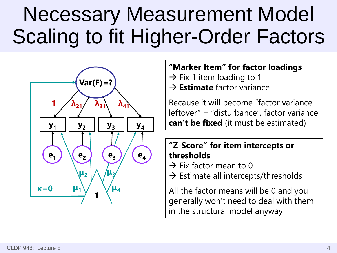### Necessary Measurement Model Scaling to fit Higher-Order Factors



#### **"Marker Item" for factor loadings**

- $\rightarrow$  Fix 1 item loading to 1
- **Estimate** factor variance

Because it will become "factor variance leftover" = "disturbance", factor variance **can't be fixed** (it must be estimated)

#### **"Z-Score" for item intercepts or thresholds**

- $\rightarrow$  Fix factor mean to 0
- $\rightarrow$  Estimate all intercepts/thresholds

All the factor means will be 0 and you generally won't need to deal with them in the structural model anyway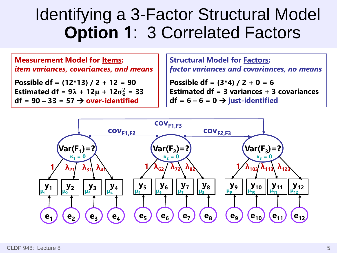#### Identifying a 3-Factor Structural Model **Option 1**: 3 Correlated Factors

**Measurement Model for Items:** *item variances, covariances, and means*

**Possible df = (12\*13) / 2 + 12 = 90 Estimated df =**  $9\lambda + 12\mu + 12\sigma_e^2 = 33$ **df = 90 – 33 = 57 over-identified**

**Structural Model for Factors:** *factor variances and covariances, no means*

**Possible df = (3\*4) / 2 + 0 = 6 Estimated df = 3 variances + 3 covariances**   $df = 6 - 6 = 0 \rightarrow$  just-identified

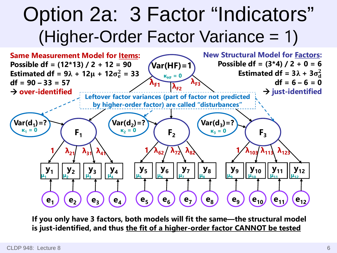#### Option 2a: 3 Factor "Indicators" (Higher-Order Factor Variance = 1)



**If you only have 3 factors, both models will fit the same—the structural model is just-identified, and thus the fit of a higher-order factor CANNOT be tested**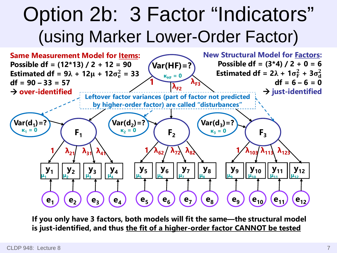#### Option 2b: 3 Factor "Indicators" (using Marker Lower-Order Factor)



**If you only have 3 factors, both models will fit the same—the structural model is just-identified, and thus the fit of a higher-order factor CANNOT be tested**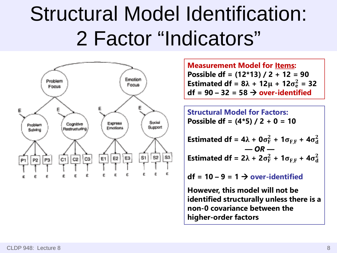### Structural Model Identification: 2 Factor "Indicators"



**Measurement Model for Items: Possible df = (12\*13) / 2 + 12 = 90 Estimated df = 8** $\lambda$  + 12 $\mu$  + 12 $\sigma_e^2$  = 32  $df = 90 - 32 = 58 \rightarrow over-identified$ 

**Structural Model for Factors: Possible df = (4\*5) / 2 + 0 = 10**

**Estimated df = 4** $\lambda$  + 0 $\sigma_F^2$  + 1 $\sigma_{F,F}$  + 4 $\sigma_d^2$ *— OR —* **Estimated df = 2** $\lambda$  + 2 $\sigma_F^2$  + 1 $\sigma_{F,F}$  + 4 $\sigma_d^2$ 

 $df = 10 - 9 = 1 \rightarrow over-identified$ 

**However, this model will not be identified structurally unless there is a non-0 covariance between the higher-order factors**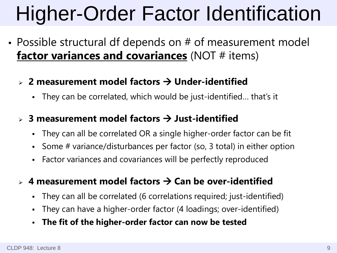# Higher-Order Factor Identification

- Possible structural df depends on # of measurement model **factor variances and covariances** (NOT # items)
	- **2 measurement model factors Under-identified**
		- They can be correlated, which would be just-identified… that's it
	- **3 measurement model factors Just-identified**
		- They can all be correlated OR a single higher-order factor can be fit
		- Some # variance/disturbances per factor (so, 3 total) in either option
		- Factor variances and covariances will be perfectly reproduced
	- $\triangleright$  4 measurement model factors  $\rightarrow$  Can be over-identified
		- They can all be correlated (6 correlations required; just-identified)
		- They can have a higher-order factor (4 loadings; over-identified)
		- **The fit of the higher-order factor can now be tested**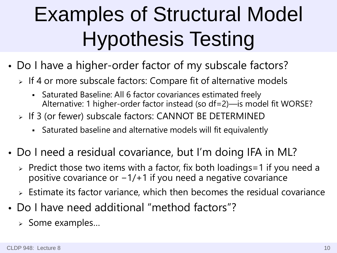# Examples of Structural Model Hypothesis Testing

- Do I have a higher-order factor of my subscale factors?
	- $>$  If 4 or more subscale factors: Compare fit of alternative models
		- Saturated Baseline: All 6 factor covariances estimated freely Alternative: 1 higher-order factor instead (so df=2)—is model fit WORSE?
	- > If 3 (or fewer) subscale factors: CANNOT BE DETERMINED
		- Saturated baseline and alternative models will fit equivalently
- Do I need a residual covariance, but I'm doing IFA in ML?
	- $\triangleright$  Predict those two items with a factor, fix both loadings = 1 if you need a positive covariance or -1/+1 if you need a negative covariance
	- $\geq$  Estimate its factor variance, which then becomes the residual covariance
- Do I have need additional "method factors"?
	- > Some examples...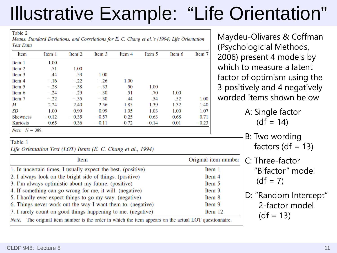### Illustrative Example: "Life Orientation"

Table 2

Means, Standard Deviations, and Correlations for E. C. Chang et al.'s (1994) Life Orientation **Test Data** 

| Item                      | Item 1  | Item 2  | Item 3  | Item 4  | Item 5  | Item 6 | Item 7  |
|---------------------------|---------|---------|---------|---------|---------|--------|---------|
| Item 1                    | 1.00    |         |         |         |         |        |         |
| Item 2                    | .51     | 1.00    |         |         |         |        |         |
| Item 3                    | .44     | .53     | 1.00    |         |         |        |         |
| Item 4                    | $-.16$  | $-.22$  | $-.26$  | 1.00    |         |        |         |
| Item 5                    | $-.28$  | $-.38$  | $-.33$  | .50     | 1.00    |        |         |
| Item 6                    | $-.24$  | $-.29$  | $-.30$  | .51     | .70     | 1.00   |         |
| Item 7                    | $-.22$  | $-.35$  | $-.30$  | .44     | .54     | .52    | 1.00    |
| M                         | 2.24    | 2.40    | 2.56    | 1.85    | 1.39    | 1.32   | 1.40    |
| SD                        | 1.00    | 0.99    | 0.99    | 1.05    | 1.03    | 1.00   | 1.07    |
| <b>Skewness</b>           | $-0.12$ | $-0.35$ | $-0.57$ | 0.25    | 0.63    | 0.68   | 0.71    |
| Kurtosis                  | $-0.65$ | $-0.36$ | $-0.11$ | $-0.72$ | $-0.14$ | 0.01   | $-0.23$ |
| <i>Note</i> . $N = 389$ . |         |         |         |         |         |        |         |

Table 1

Life Orientation Test (LOT) Items (E. C. Chang et al., 1994)

| Item                                                                                                      | Original item number |  |  |  |
|-----------------------------------------------------------------------------------------------------------|----------------------|--|--|--|
| 1. In uncertain times, I usually expect the best. (positive)                                              | Item 1               |  |  |  |
| 2. I always look on the bright side of things. (positive)                                                 | Item 4               |  |  |  |
| 3. I'm always optimistic about my future. (positive)                                                      | Item 5               |  |  |  |
| 4. If something can go wrong for me, it will. (negative)                                                  | Item 3               |  |  |  |
| 5. I hardly ever expect things to go my way. (negative)                                                   | Item 8               |  |  |  |
| 6. Things never work out the way I want them to. (negative)                                               | Item 9               |  |  |  |
| 7. I rarely count on good things happening to me. (negative)                                              | Item 12              |  |  |  |
| The original item number is the order in which the item appears on the actual LOT questionnaire.<br>Note. |                      |  |  |  |

Maydeu-Olivares & Coffman (Psychologicial Methods, 2006) present 4 models by which to measure a latent factor of optimism using the 3 positively and 4 negatively worded items shown below

> A: Single factor  $(df = 14)$

 B: Two wording factors (df  $= 13$ )

 C: Three-factor "Bifactor" model  $(df = 7)$ 

 D: "Random Intercept" 2-factor model  $(df = 13)$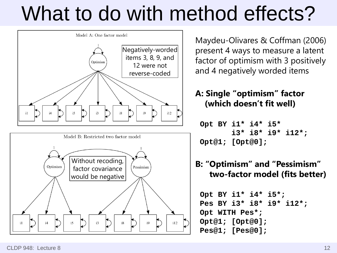### What to do with method effects?





Maydeu-Olivares & Coffman (2006) present 4 ways to measure a latent factor of optimism with 3 positively and 4 negatively worded items

#### **A: Single "optimism" factor (which doesn't fit well)**

 **Opt BY i1\* i4\* i5\* i3\* i8\* i9\* i12\*; Opt@1; [Opt@0];**

#### **B: "Optimism" and "Pessimism" two-factor model (fits better)**

 **Opt BY i1\* i4\* i5\*; Pes BY i3\* i8\* i9\* i12\*; Opt WITH Pes\*; Opt@1; [Opt@0]; Pes@1; [Pes@0];**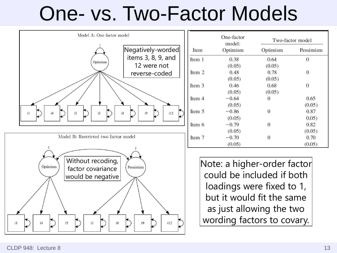### One- vs. Two-Factor Models

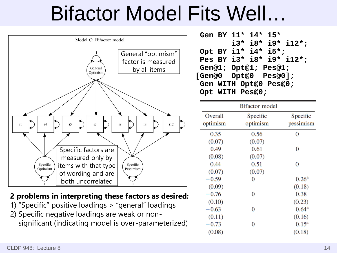### Bifactor Model Fits Well…



#### **2 problems in interpreting these factors as desired:**

1) "Specific" positive loadings > "general" loadings 2) Specific negative loadings are weak or non significant (indicating model is over-parameterized)

 **Gen BY i1\* i4\* i5\* i3\* i8\* i9\* i12\*; Opt BY i1\* i4\* i5\*; Pes BY i3\* i8\* i9\* i12\*; Gen@1; Opt@1; Pes@1; [Gen@0 Opt@0 Pes@0]; Gen WITH Opt@0 Pes@0; Opt WITH Pes@0;** 

|          | <b>Bifactor</b> model |                |
|----------|-----------------------|----------------|
| Overall  | Specific              | Specific       |
| optimism | optimism              | pessimism      |
| 0.35     | 0.56                  | 0              |
| (0.07)   | (0.07)                |                |
| 0.49     | 0.61                  | 0              |
| (0.08)   | (0.07)                |                |
| 0.44     | 0.51                  | 0              |
| (0.07)   | (0.07)                |                |
| $-0.59$  | 0                     | $0.26^{\rm a}$ |
| (0.09)   |                       | (0.18)         |
| $-0.76$  | 0                     | 0.38           |
| (0.10)   |                       | (0.23)         |
| $-0.63$  | 0                     | $0.64^{\rm a}$ |
| (0.11)   |                       | (0.16)         |
| $-0.73$  | 0                     | $0.15^{\rm a}$ |
| (0.08)   |                       | (0.18)         |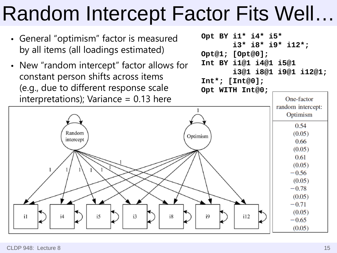### Random Intercept Factor Fits Well…

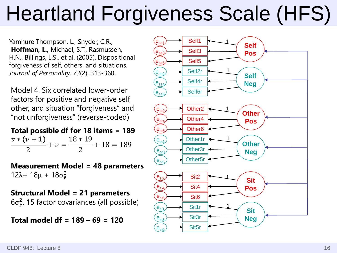# Heartland Forgiveness Scale (HFS)

Yamhure Thompson, L., Snyder, C.R., **Hoffman, L.,** Michael, S.T., Rasmussen, H.N., Billings, L.S., et al. (2005). Dispositional forgiveness of self, others, and situations. *Journal of Personality, 73*(2), 313-360.

Model 4. Six correlated lower-order factors for positive and negative self, other, and situation "forgiveness" and "not unforgiveness" (reverse-coded)

**Total possible df for 18 items = 189**  $\frac{v*(v+1)}{2} + v = \frac{18*19}{2} + 18 = 189$ 

**Measurement Model = 48 parameters** 12λ+ 18μ + 18σ $_e^2$ 

**Structural Model = 21 parameters**  $6\sigma_{\rm F}^2$ , 15 factor covariances (all possible)

**Total model df = 189 – 69 = 120**

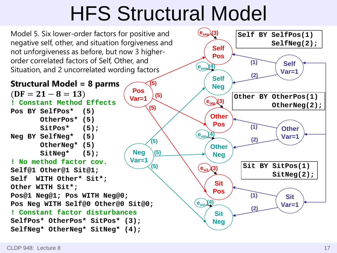### HFS Structural Model

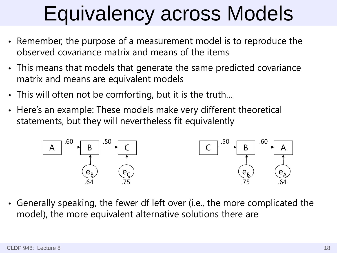## Equivalency across Models

- Remember, the purpose of a measurement model is to reproduce the observed covariance matrix and means of the items
- This means that models that generate the same predicted covariance matrix and means are equivalent models
- This will often not be comforting, but it is the truth…
- Here's an example: These models make very different theoretical statements, but they will nevertheless fit equivalently



• Generally speaking, the fewer df left over (i.e., the more complicated the model), the more equivalent alternative solutions there are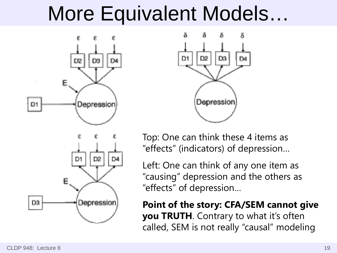#### More Equivalent Models…







Top: One can think these 4 items as "effects" (indicators) of depression…

Left: One can think of any one item as "causing" depression and the others as "effects" of depression…

**Point of the story: CFA/SEM cannot give you TRUTH**. Contrary to what it's often called, SEM is not really "causal" modeling